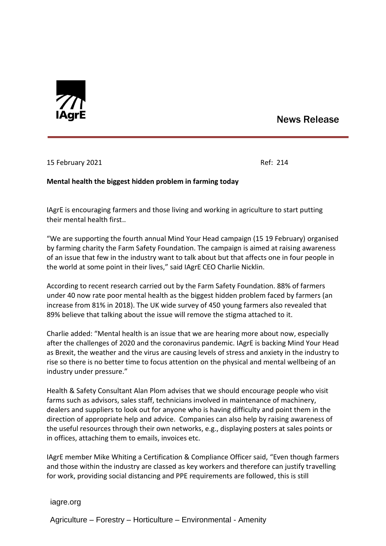

## News Release

15 February 2021 **Ref: 214** 

## **Mental health the biggest hidden problem in farming today**

IAgrE is encouraging farmers and those living and working in agriculture to start putting their mental health first..

"We are supporting the fourth annual Mind Your Head campaign (15 19 February) organised by farming charity the Farm Safety Foundation. The campaign is aimed at raising awareness of an issue that few in the industry want to talk about but that affects one in four people in the world at some point in their lives," said IAgrE CEO Charlie Nicklin.

According to recent research carried out by the Farm Safety Foundation. 88% of farmers under 40 now rate poor mental health as the biggest hidden problem faced by farmers (an increase from 81% in 2018). The UK wide survey of 450 young farmers also revealed that 89% believe that talking about the issue will remove the stigma attached to it.

Charlie added: "Mental health is an issue that we are hearing more about now, especially after the challenges of 2020 and the coronavirus pandemic. IAgrE is backing Mind Your Head as Brexit, the weather and the virus are causing levels of stress and anxiety in the industry to rise so there is no better time to focus attention on the physical and mental wellbeing of an industry under pressure."

Health & Safety Consultant Alan Plom advises that we should encourage people who visit farms such as advisors, sales staff, technicians involved in maintenance of machinery, dealers and suppliers to look out for anyone who is having difficulty and point them in the direction of appropriate help and advice. Companies can also help by raising awareness of the useful resources through their own networks, e.g., displaying posters at sales points or in offices, attaching them to emails, invoices etc.

IAgrE member Mike Whiting a Certification & Compliance Officer said, "Even though farmers and those within the industry are classed as key workers and therefore can justify travelling for work, providing social distancing and PPE requirements are followed, this is still

iagre.org

Agriculture – Forestry – Horticulture – Environmental - Amenity